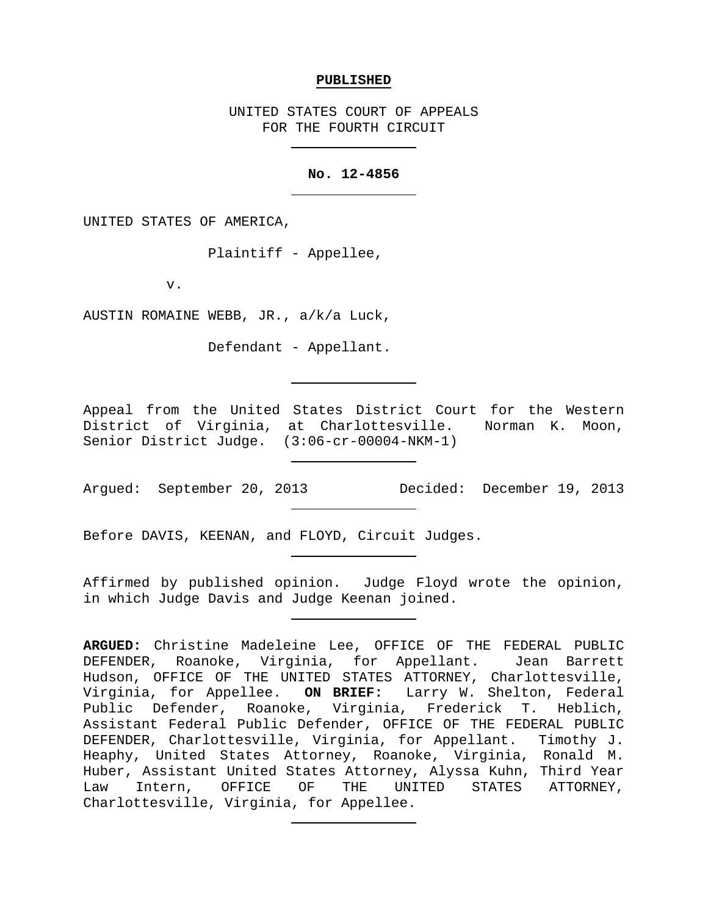## **PUBLISHED**

UNITED STATES COURT OF APPEALS FOR THE FOURTH CIRCUIT

## **No. 12-4856**

UNITED STATES OF AMERICA,

Plaintiff - Appellee,

v.

AUSTIN ROMAINE WEBB, JR., a/k/a Luck,

Defendant - Appellant.

Appeal from the United States District Court for the Western District of Virginia, at Charlottesville. Norman K. Moon, Senior District Judge. (3:06-cr-00004-NKM-1)

Argued: September 20, 2013 Decided: December 19, 2013

Before DAVIS, KEENAN, and FLOYD, Circuit Judges.

Affirmed by published opinion. Judge Floyd wrote the opinion, in which Judge Davis and Judge Keenan joined.

**ARGUED:** Christine Madeleine Lee, OFFICE OF THE FEDERAL PUBLIC DEFENDER, Roanoke, Virginia, for Appellant. Jean Barrett Hudson, OFFICE OF THE UNITED STATES ATTORNEY, Charlottesville, Virginia, for Appellee. **ON BRIEF:** Larry W. Shelton, Federal Public Defender, Roanoke, Virginia, Frederick T. Heblich, Assistant Federal Public Defender, OFFICE OF THE FEDERAL PUBLIC DEFENDER, Charlottesville, Virginia, for Appellant. Timothy J. Heaphy, United States Attorney, Roanoke, Virginia, Ronald M. Huber, Assistant United States Attorney, Alyssa Kuhn, Third Year UNITED STATES ATTORNEY, Charlottesville, Virginia, for Appellee.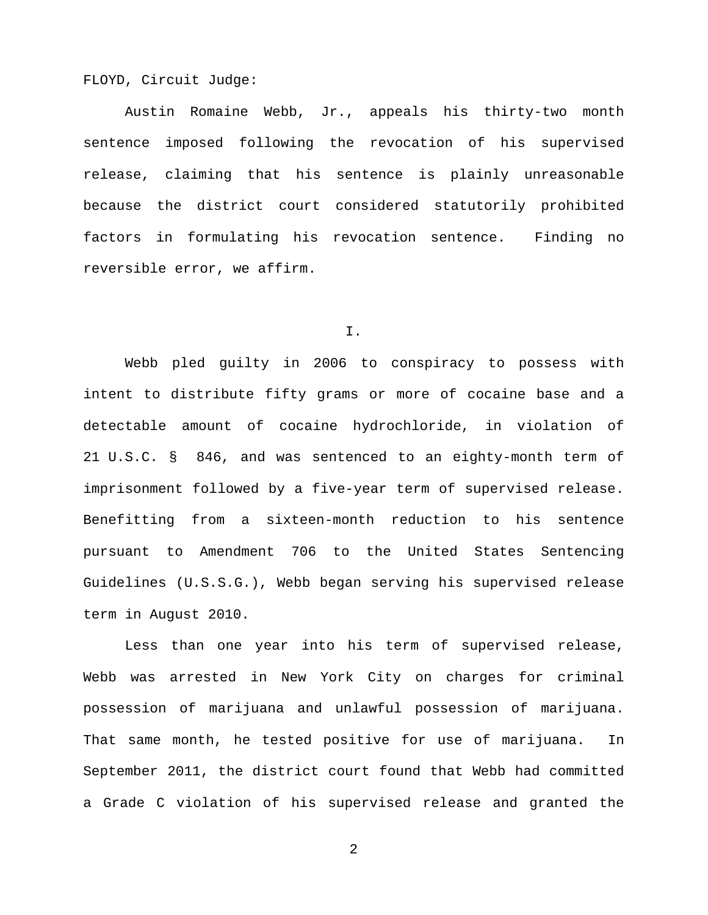FLOYD, Circuit Judge:

Austin Romaine Webb, Jr., appeals his thirty-two month sentence imposed following the revocation of his supervised release, claiming that his sentence is plainly unreasonable because the district court considered statutorily prohibited factors in formulating his revocation sentence. Finding no reversible error, we affirm.

I.

Webb pled guilty in 2006 to conspiracy to possess with intent to distribute fifty grams or more of cocaine base and a detectable amount of cocaine hydrochloride, in violation of 21 U.S.C. § 846, and was sentenced to an eighty-month term of imprisonment followed by a five-year term of supervised release. Benefitting from a sixteen-month reduction to his sentence pursuant to Amendment 706 to the United States Sentencing Guidelines (U.S.S.G.), Webb began serving his supervised release term in August 2010.

Less than one year into his term of supervised release, Webb was arrested in New York City on charges for criminal possession of marijuana and unlawful possession of marijuana. That same month, he tested positive for use of marijuana. In September 2011, the district court found that Webb had committed a Grade C violation of his supervised release and granted the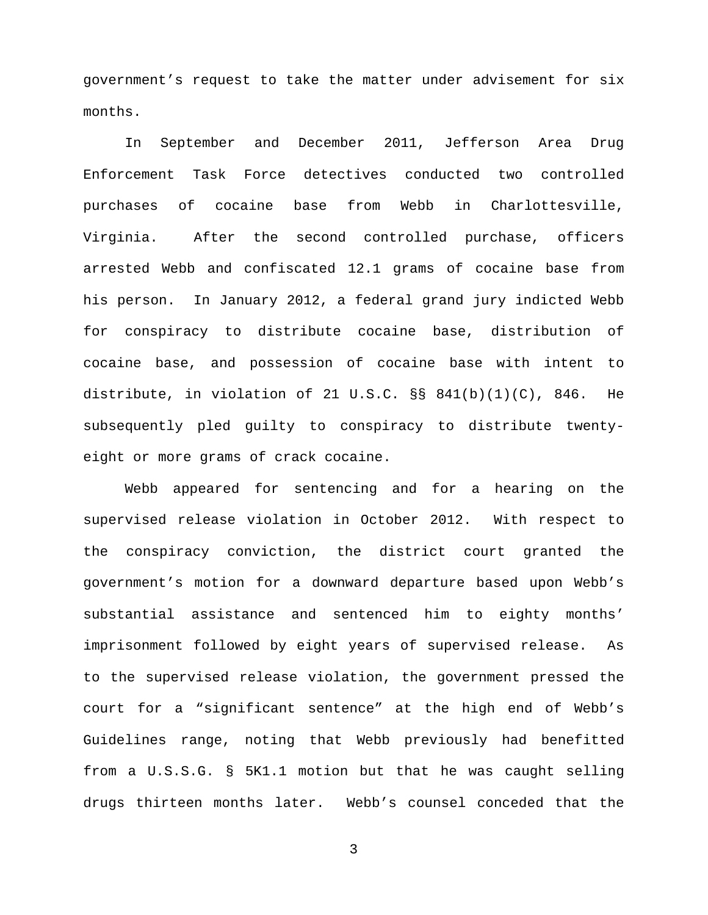government's request to take the matter under advisement for six months.

In September and December 2011, Jefferson Area Drug Enforcement Task Force detectives conducted two controlled purchases of cocaine base from Webb in Charlottesville, Virginia. After the second controlled purchase, officers arrested Webb and confiscated 12.1 grams of cocaine base from his person. In January 2012, a federal grand jury indicted Webb for conspiracy to distribute cocaine base, distribution of cocaine base, and possession of cocaine base with intent to distribute, in violation of 21 U.S.C. §§ 841(b)(1)(C), 846. He subsequently pled guilty to conspiracy to distribute twentyeight or more grams of crack cocaine.

Webb appeared for sentencing and for a hearing on the supervised release violation in October 2012. With respect to the conspiracy conviction, the district court granted the government's motion for a downward departure based upon Webb's substantial assistance and sentenced him to eighty months' imprisonment followed by eight years of supervised release. As to the supervised release violation, the government pressed the court for a "significant sentence" at the high end of Webb's Guidelines range, noting that Webb previously had benefitted from a U.S.S.G. § 5K1.1 motion but that he was caught selling drugs thirteen months later. Webb's counsel conceded that the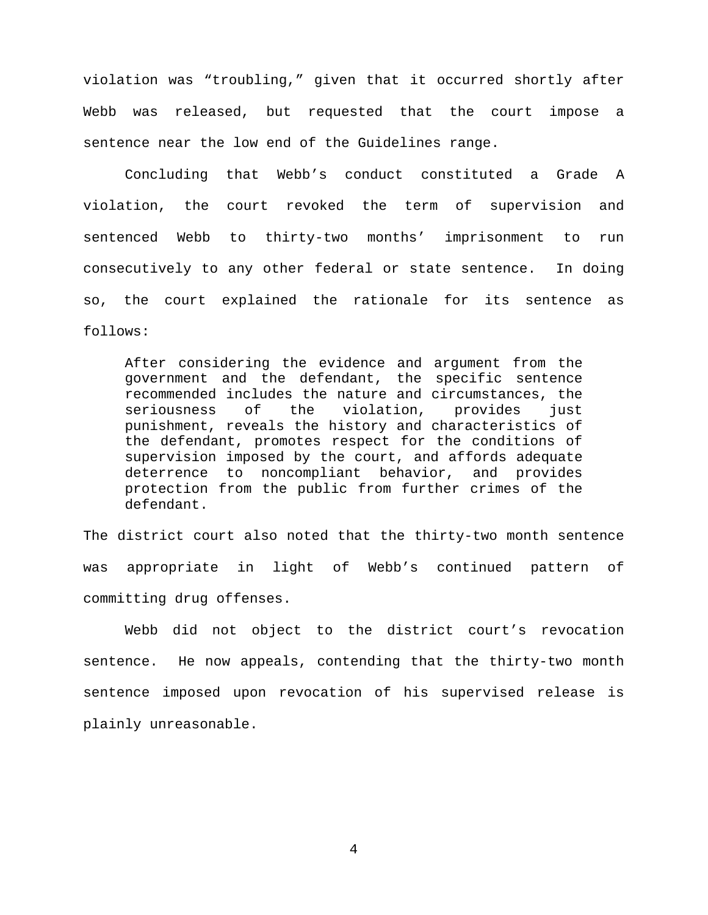violation was "troubling," given that it occurred shortly after Webb was released, but requested that the court impose a sentence near the low end of the Guidelines range.

Concluding that Webb's conduct constituted a Grade A violation, the court revoked the term of supervision and sentenced Webb to thirty-two months' imprisonment to run consecutively to any other federal or state sentence. In doing so, the court explained the rationale for its sentence as follows:

After considering the evidence and argument from the government and the defendant, the specific sentence recommended includes the nature and circumstances, the seriousness of the violation, provides just violation, punishment, reveals the history and characteristics of the defendant, promotes respect for the conditions of supervision imposed by the court, and affords adequate deterrence to noncompliant behavior, and provides protection from the public from further crimes of the defendant.

The district court also noted that the thirty-two month sentence was appropriate in light of Webb's continued pattern of committing drug offenses.

Webb did not object to the district court's revocation sentence. He now appeals, contending that the thirty-two month sentence imposed upon revocation of his supervised release is plainly unreasonable.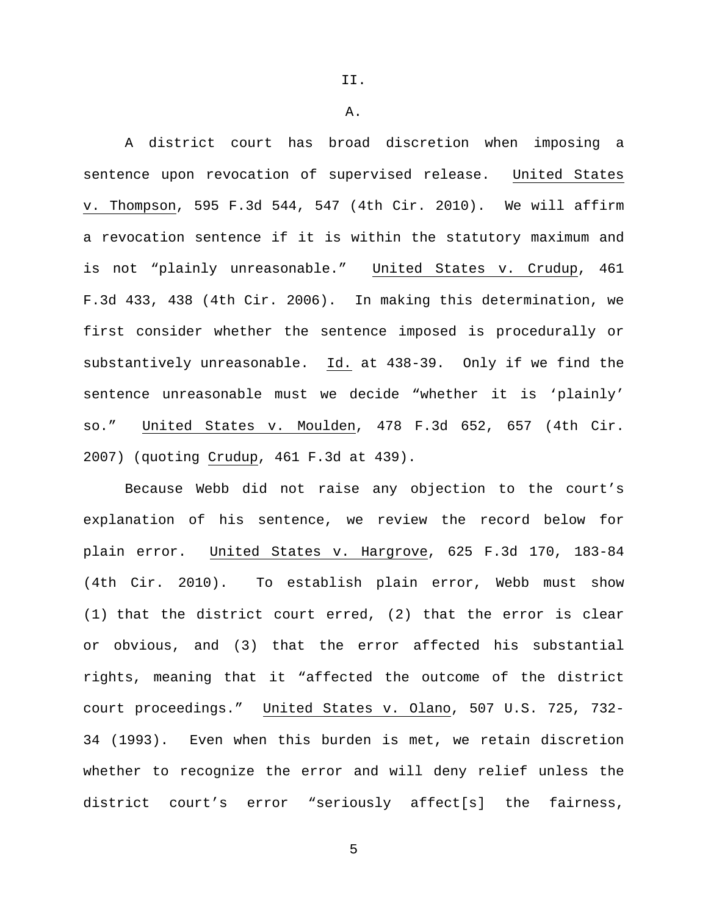II.

A.

A district court has broad discretion when imposing a sentence upon revocation of supervised release. United States v. Thompson, 595 F.3d 544, 547 (4th Cir. 2010). We will affirm a revocation sentence if it is within the statutory maximum and is not "plainly unreasonable." United States v. Crudup, 461 F.3d 433, 438 (4th Cir. 2006). In making this determination, we first consider whether the sentence imposed is procedurally or substantively unreasonable. Id. at 438-39. Only if we find the sentence unreasonable must we decide "whether it is 'plainly' so." United States v. Moulden, 478 F.3d 652, 657 (4th Cir. 2007) (quoting Crudup, 461 F.3d at 439).

Because Webb did not raise any objection to the court's explanation of his sentence, we review the record below for plain error. United States v. Hargrove, 625 F.3d 170, 183-84 (4th Cir. 2010). To establish plain error, Webb must show (1) that the district court erred, (2) that the error is clear or obvious, and (3) that the error affected his substantial rights, meaning that it "affected the outcome of the district court proceedings." United States v. Olano, 507 U.S. 725, 732- 34 (1993). Even when this burden is met, we retain discretion whether to recognize the error and will deny relief unless the district court's error "seriously affect[s] the fairness,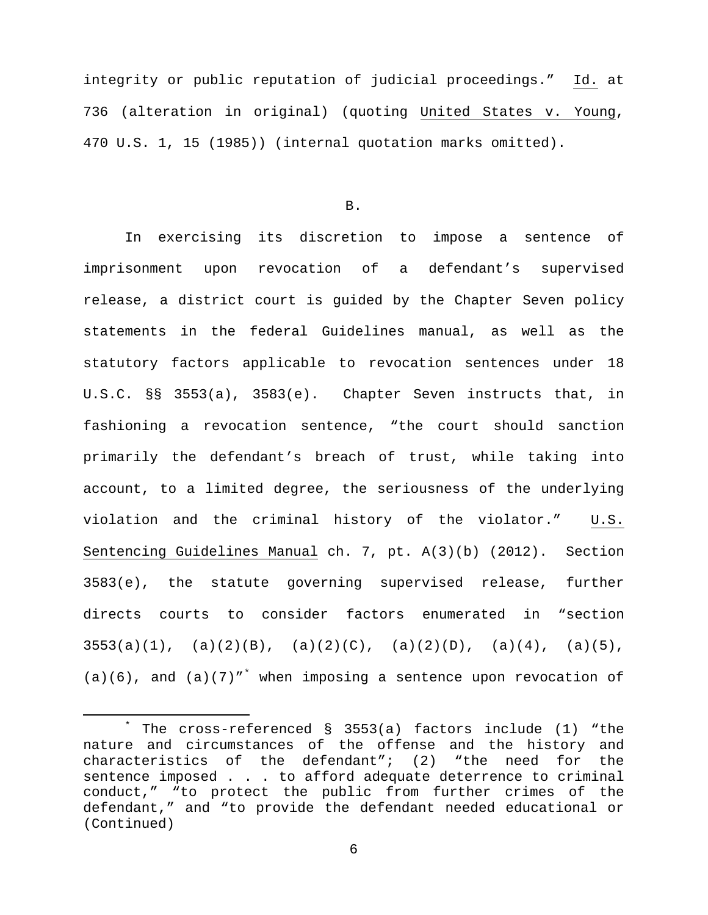integrity or public reputation of judicial proceedings." Id. at 736 (alteration in original) (quoting United States v. Young, 470 U.S. 1, 15 (1985)) (internal quotation marks omitted).

B.

In exercising its discretion to impose a sentence of imprisonment upon revocation of a defendant's supervised release, a district court is guided by the Chapter Seven policy statements in the federal Guidelines manual, as well as the statutory factors applicable to revocation sentences under 18 U.S.C. §§ 3553(a), 3583(e). Chapter Seven instructs that, in fashioning a revocation sentence, "the court should sanction primarily the defendant's breach of trust, while taking into account, to a limited degree, the seriousness of the underlying violation and the criminal history of the violator." U.S. Sentencing Guidelines Manual ch. 7, pt. A(3)(b) (2012). Section 3583(e), the statute governing supervised release, further directs courts to consider factors enumerated in "section  $3553(a)(1)$ , (a)(2)(B), (a)(2)(C), (a)(2)(D), (a)(4), (a)(5),  $(a)(6)$ , and  $(a)(7)$ " when imposing a sentence upon revocation of

<span id="page-5-0"></span> <sup>\*</sup> The cross-referenced § 3553(a) factors include (1) "the nature and circumstances of the offense and the history and characteristics of the defendant"; (2) "the need for the sentence imposed . . . to afford adequate deterrence to criminal conduct," "to protect the public from further crimes of the defendant," and "to provide the defendant needed educational or (Continued)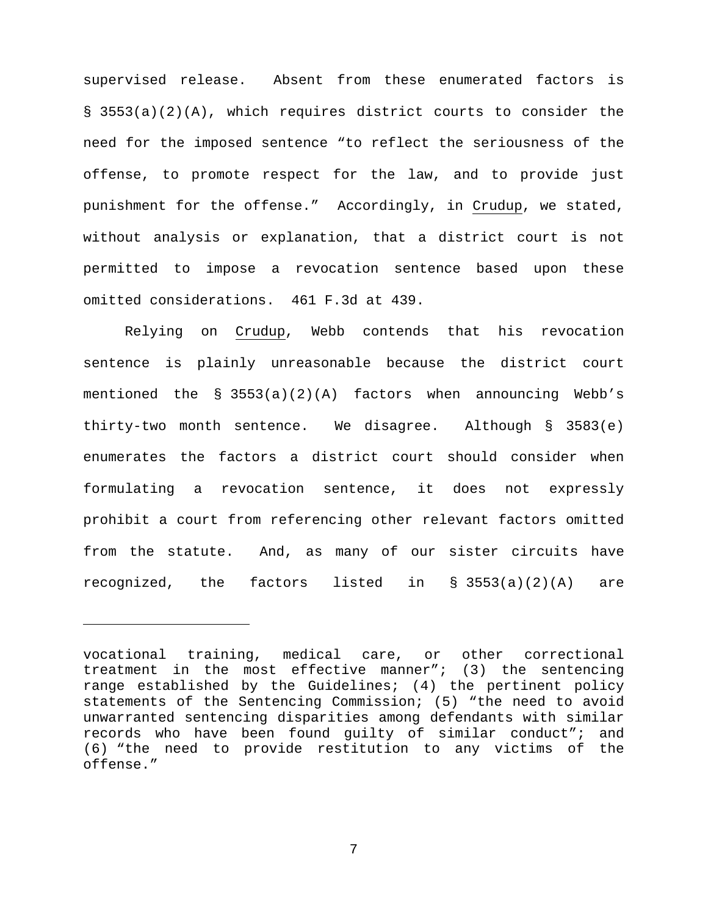supervised release. Absent from these enumerated factors is § 3553(a)(2)(A), which requires district courts to consider the need for the imposed sentence "to reflect the seriousness of the offense, to promote respect for the law, and to provide just punishment for the offense." Accordingly, in Crudup, we stated, without analysis or explanation, that a district court is not permitted to impose a revocation sentence based upon these omitted considerations. 461 F.3d at 439.

Relying on Crudup, Webb contends that his revocation sentence is plainly unreasonable because the district court mentioned the § 3553(a)(2)(A) factors when announcing Webb's thirty-two month sentence. We disagree. Although § 3583(e) enumerates the factors a district court should consider when formulating a revocation sentence, it does not expressly prohibit a court from referencing other relevant factors omitted from the statute. And, as many of our sister circuits have recognized, the factors listed in § 3553(a)(2)(A) are

Ĩ.

vocational training, medical care, or other correctional treatment in the most effective manner"; (3) the sentencing range established by the Guidelines; (4) the pertinent policy statements of the Sentencing Commission; (5) "the need to avoid unwarranted sentencing disparities among defendants with similar records who have been found guilty of similar conduct"; and (6) "the need to provide restitution to any victims of the offense."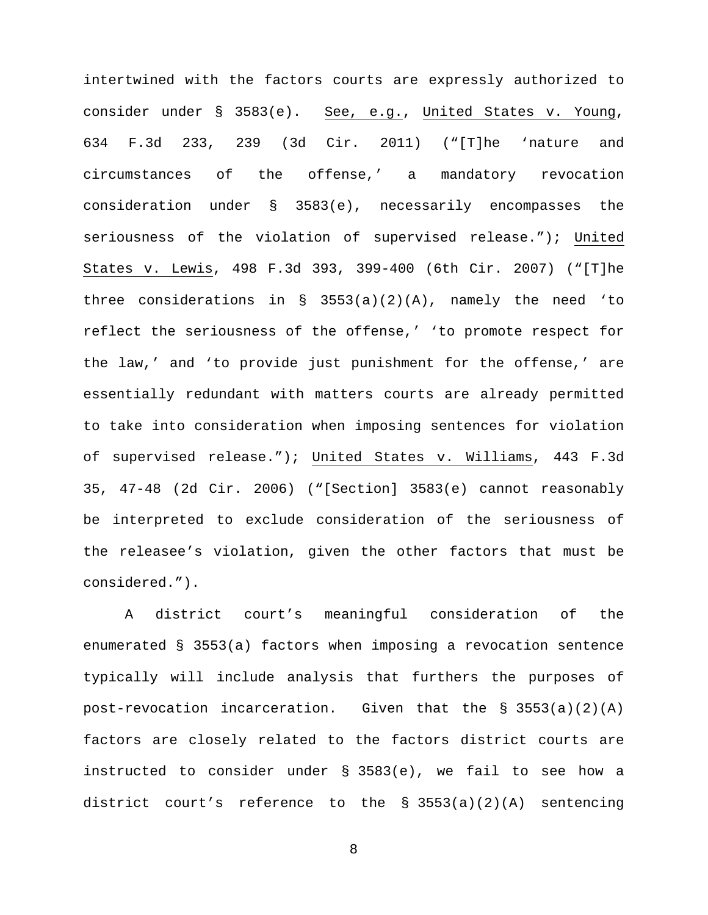intertwined with the factors courts are expressly authorized to consider under § 3583(e). See, e.g., United States v. Young, 634 F.3d 233, 239 (3d Cir. 2011) ("[T]he 'nature and circumstances of the offense,' a mandatory revocation consideration under § 3583(e), necessarily encompasses the seriousness of the violation of supervised release."); United States v. Lewis, 498 F.3d 393, 399-400 (6th Cir. 2007) ("[T]he three considerations in  $\S$  3553(a)(2)(A), namely the need 'to reflect the seriousness of the offense,' 'to promote respect for the law,' and 'to provide just punishment for the offense,' are essentially redundant with matters courts are already permitted to take into consideration when imposing sentences for violation of supervised release."); United States v. Williams, 443 F.3d 35, 47-48 (2d Cir. 2006) ("[Section] 3583(e) cannot reasonably be interpreted to exclude consideration of the seriousness of the releasee's violation, given the other factors that must be considered.").

A district court's meaningful consideration of the enumerated § 3553(a) factors when imposing a revocation sentence typically will include analysis that furthers the purposes of post-revocation incarceration. Given that the § 3553(a)(2)(A) factors are closely related to the factors district courts are instructed to consider under § 3583(e), we fail to see how a district court's reference to the § 3553(a)(2)(A) sentencing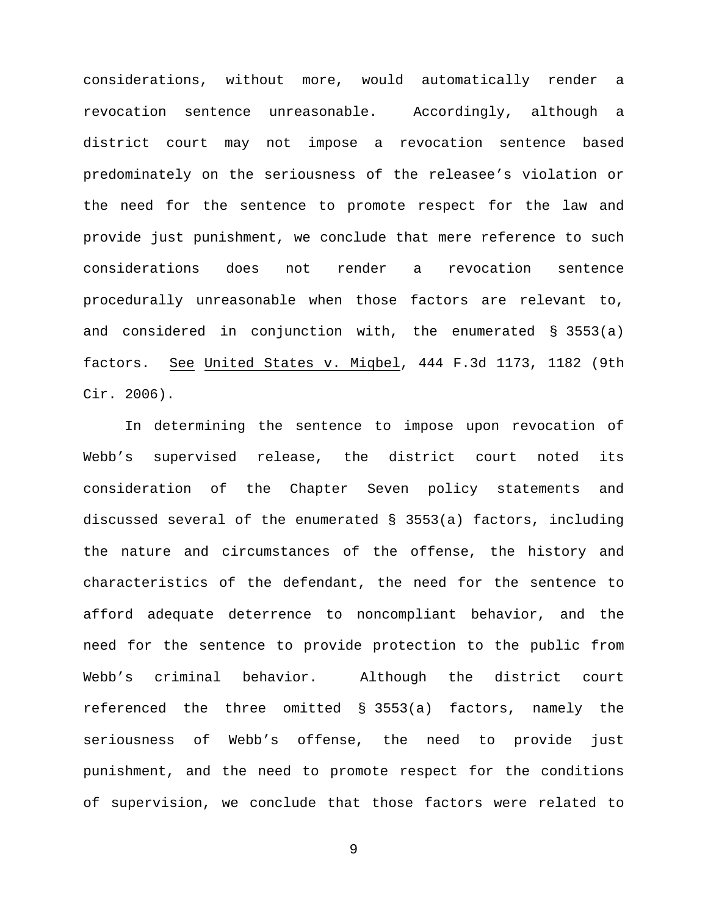considerations, without more, would automatically render a revocation sentence unreasonable. Accordingly, although a district court may not impose a revocation sentence based predominately on the seriousness of the releasee's violation or the need for the sentence to promote respect for the law and provide just punishment, we conclude that mere reference to such considerations does not render a revocation sentence procedurally unreasonable when those factors are relevant to, and considered in conjunction with, the enumerated § 3553(a) factors. See United States v. Miqbel, 444 F.3d 1173, 1182 (9th Cir. 2006).

In determining the sentence to impose upon revocation of Webb's supervised release, the district court noted its consideration of the Chapter Seven policy statements and discussed several of the enumerated § 3553(a) factors, including the nature and circumstances of the offense, the history and characteristics of the defendant, the need for the sentence to afford adequate deterrence to noncompliant behavior, and the need for the sentence to provide protection to the public from Webb's criminal behavior. Although the district court referenced the three omitted § 3553(a) factors, namely the seriousness of Webb's offense, the need to provide just punishment, and the need to promote respect for the conditions of supervision, we conclude that those factors were related to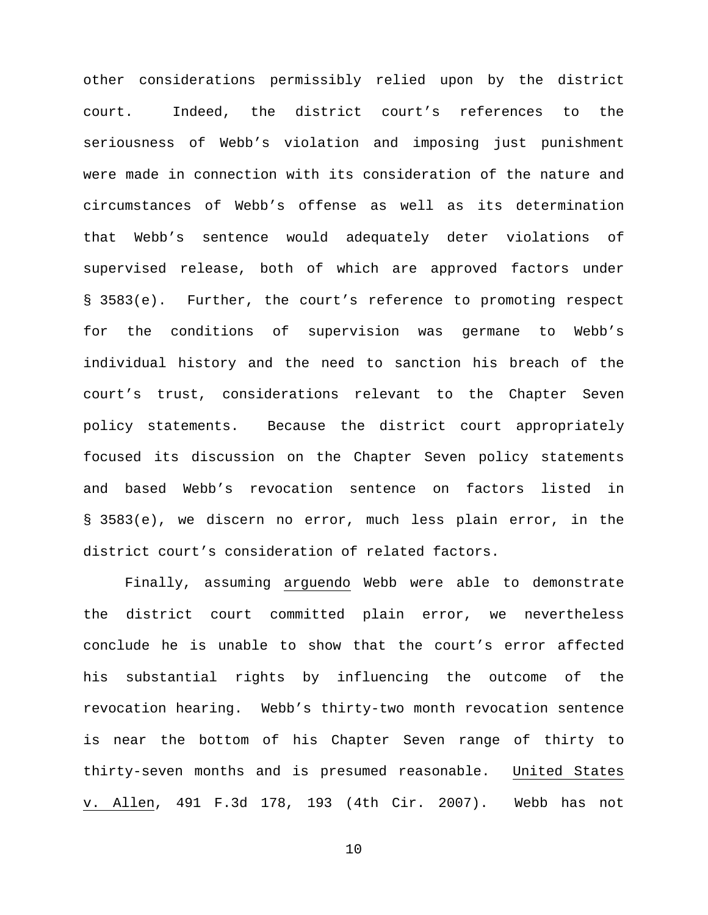other considerations permissibly relied upon by the district court. Indeed, the district court's references to the seriousness of Webb's violation and imposing just punishment were made in connection with its consideration of the nature and circumstances of Webb's offense as well as its determination that Webb's sentence would adequately deter violations of supervised release, both of which are approved factors under § 3583(e). Further, the court's reference to promoting respect for the conditions of supervision was germane to Webb's individual history and the need to sanction his breach of the court's trust, considerations relevant to the Chapter Seven policy statements. Because the district court appropriately focused its discussion on the Chapter Seven policy statements and based Webb's revocation sentence on factors listed in § 3583(e), we discern no error, much less plain error, in the district court's consideration of related factors.

Finally, assuming arguendo Webb were able to demonstrate the district court committed plain error, we nevertheless conclude he is unable to show that the court's error affected his substantial rights by influencing the outcome of the revocation hearing. Webb's thirty-two month revocation sentence is near the bottom of his Chapter Seven range of thirty to thirty-seven months and is presumed reasonable. United States v. Allen, 491 F.3d 178, 193 (4th Cir. 2007). Webb has not